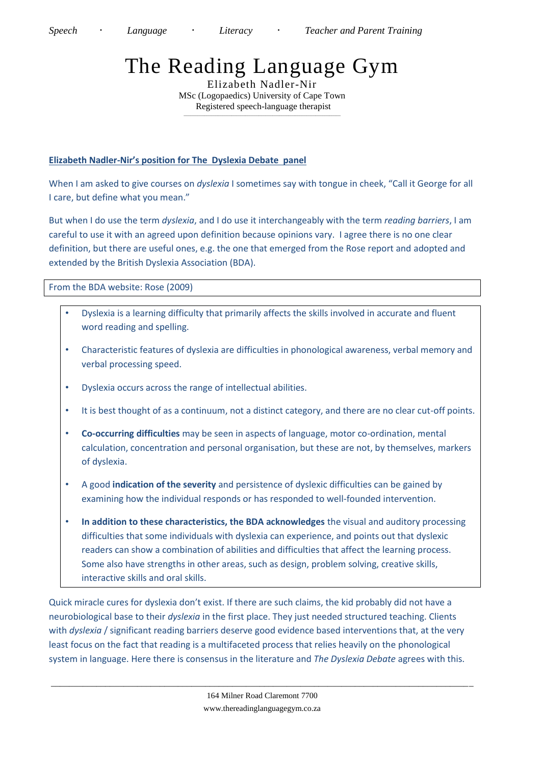## The Reading Language Gym

Elizabeth Nadler-Nir MSc (Logopaedics) University of Cape Town Registered speech-language therapist *\_\_\_\_\_\_\_\_\_\_\_\_\_\_\_\_\_\_\_\_\_\_\_\_\_\_\_\_\_\_\_\_\_\_\_\_\_\_\_\_\_\_\_\_\_\_\_\_\_\_\_\_\_\_\_\_\_\_\_\_\_\_\_\_\_\_\_\_\_*

## **Elizabeth Nadler-Nir's position for The Dyslexia Debate panel**

When I am asked to give courses on *dyslexia* I sometimes say with tongue in cheek, "Call it George for all I care, but define what you mean."

But when I do use the term *dyslexia*, and I do use it interchangeably with the term *reading barriers*, I am careful to use it with an agreed upon definition because opinions vary. I agree there is no one clear definition, but there are useful ones, e.g. the one that emerged from the Rose report and adopted and extended by the British Dyslexia Association (BDA).

From the BDA website: Rose (2009)

- Dyslexia is a learning difficulty that primarily affects the skills involved in accurate and fluent word reading and spelling.
- Characteristic features of dyslexia are difficulties in phonological awareness, verbal memory and verbal processing speed.
- Dyslexia occurs across the range of intellectual abilities.
- It is best thought of as a continuum, not a distinct category, and there are no clear cut-off points.
- **Co-occurring difficulties** may be seen in aspects of language, motor co-ordination, mental calculation, concentration and personal organisation, but these are not, by themselves, markers of dyslexia.
- A good **indication of the severity** and persistence of dyslexic difficulties can be gained by examining how the individual responds or has responded to well-founded intervention.
- **In addition to these characteristics, the BDA acknowledges** the visual and auditory processing difficulties that some individuals with dyslexia can experience, and points out that dyslexic readers can show a combination of abilities and difficulties that affect the learning process. Some also have strengths in other areas, such as design, problem solving, creative skills, interactive skills and oral skills.

Quick miracle cures for dyslexia don't exist. If there are such claims, the kid probably did not have a neurobiological base to their *dyslexia* in the first place. They just needed structured teaching. Clients with *dyslexia* / significant reading barriers deserve good evidence based interventions that, at the very least focus on the fact that reading is a multifaceted process that relies heavily on the phonological system in language. Here there is consensus in the literature and *The Dyslexia Debate* agrees with this.

\_\_\_\_\_\_\_\_\_\_\_\_\_\_\_\_\_\_\_\_\_\_\_\_\_\_\_\_\_\_\_\_\_\_\_\_\_\_\_\_\_\_\_\_\_\_\_\_\_\_\_\_\_\_\_\_\_\_\_\_\_\_\_\_\_\_\_\_\_\_\_\_\_\_\_\_\_\_\_\_\_\_\_\_\_\_\_\_\_\_\_\_\_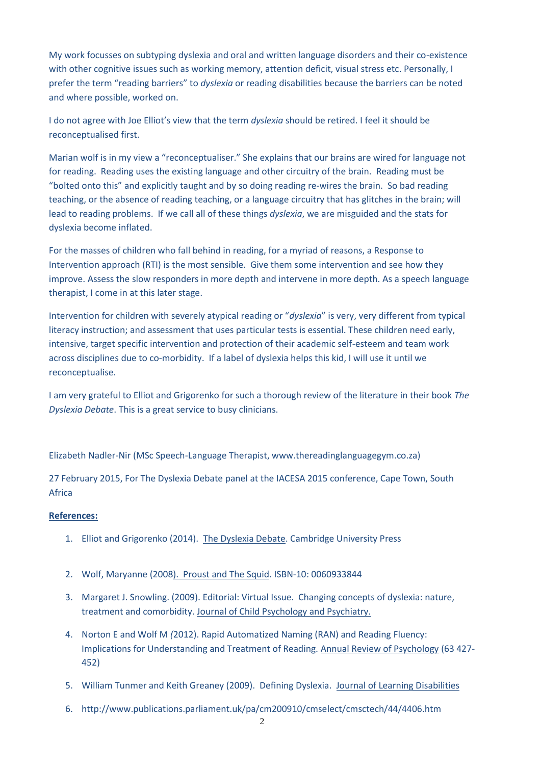My work focusses on subtyping dyslexia and oral and written language disorders and their co-existence with other cognitive issues such as working memory, attention deficit, visual stress etc. Personally, I prefer the term "reading barriers" to *dyslexia* or reading disabilities because the barriers can be noted and where possible, worked on.

I do not agree with Joe Elliot's view that the term *dyslexia* should be retired. I feel it should be reconceptualised first.

Marian wolf is in my view a "reconceptualiser." She explains that our brains are wired for language not for reading. Reading uses the existing language and other circuitry of the brain. Reading must be "bolted onto this" and explicitly taught and by so doing reading re-wires the brain. So bad reading teaching, or the absence of reading teaching, or a language circuitry that has glitches in the brain; will lead to reading problems. If we call all of these things *dyslexia*, we are misguided and the stats for dyslexia become inflated.

For the masses of children who fall behind in reading, for a myriad of reasons, a Response to Intervention approach (RTI) is the most sensible. Give them some intervention and see how they improve. Assess the slow responders in more depth and intervene in more depth. As a speech language therapist, I come in at this later stage.

Intervention for children with severely atypical reading or "*dyslexia*" is very, very different from typical literacy instruction; and assessment that uses particular tests is essential. These children need early, intensive, target specific intervention and protection of their academic self-esteem and team work across disciplines due to co-morbidity. If a label of dyslexia helps this kid, I will use it until we reconceptualise.

I am very grateful to Elliot and Grigorenko for such a thorough review of the literature in their book *The Dyslexia Debate*. This is a great service to busy clinicians.

Elizabeth Nadler-Nir (MSc Speech-Language Therapist, www.thereadinglanguagegym.co.za)

27 February 2015, For The Dyslexia Debate panel at the IACESA 2015 conference, Cape Town, South Africa

## **References:**

- 1. Elliot and Grigorenko (2014). The Dyslexia Debate. Cambridge University Press
- 2. Wolf, Maryanne (2008). Proust and The Squid. ISBN-10: 0060933844
- 3. Margaret J. Snowling. (2009). Editorial: Virtual Issue. Changing concepts of dyslexia: nature, treatment and comorbidity. Journal of Child Psychology and Psychiatry.
- 4. Norton E and Wolf M *(*2012). Rapid Automatized Naming (RAN) and Reading Fluency: Implications for Understanding and Treatment of Reading. Annual Review of Psychology (63 427- 452)
- 5. William Tunmer and Keith Greaney (2009). Defining Dyslexia. Journal of Learning Disabilities
- 6. http://www.publications.parliament.uk/pa/cm200910/cmselect/cmsctech/44/4406.htm